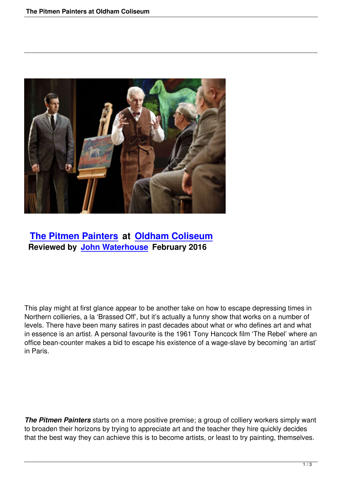

# **The Pitmen Painters at Oldham Coliseum Reviewed by John Waterhouse February 2016**

This play might at first glance appear to be another take on how to escape depressing times in Northern collieries, a la 'Brassed Off', but it's actually a funny show that works on a number of levels. There have been many satires in past decades about what or who defines art and what in essence is an artist. A personal favourite is the 1961 Tony Hancock film 'The Rebel' where an office bean-counter makes a bid to escape his existence of a wage-slave by becoming 'an artist' in Paris.

*The Pitmen Painters* starts on a more positive premise; a group of colliery workers simply want to broaden their horizons by trying to appreciate art and the teacher they hire quickly decides that the best way they can achieve this is to become artists, or least to try painting, themselves.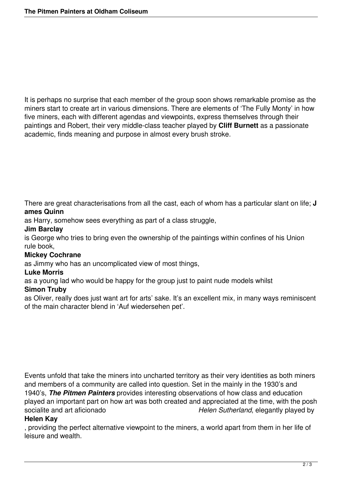It is perhaps no surprise that each member of the group soon shows remarkable promise as the miners start to create art in various dimensions. There are elements of 'The Fully Monty' in how five miners, each with different agendas and viewpoints, express themselves through their paintings and Robert, their very middle-class teacher played by **Cliff Burnett** as a passionate academic, finds meaning and purpose in almost every brush stroke.

There are great characterisations from all the cast, each of whom has a particular slant on life; **J ames Quinn**

as Harry, somehow sees everything as part of a class struggle,

#### **Jim Barclay**

is George who tries to bring even the ownership of the paintings within confines of his Union rule book,

## **Mickey Cochrane**

as Jimmy who has an uncomplicated view of most things,

#### **Luke Morris**

as a young lad who would be happy for the group just to paint nude models whilst

#### **Simon Truby**

as Oliver, really does just want art for arts' sake. It's an excellent mix, in many ways reminiscent of the main character blend in 'Auf wiedersehen pet'.

Events unfold that take the miners into uncharted territory as their very identities as both miners and members of a community are called into question. Set in the mainly in the 1930's and 1940's, *The Pitmen Painters* provides interesting observations of how class and education played an important part on how art was both created and appreciated at the time, with the posh socialite and art aficionado *Helen Sutherland*, elegantly played by

### **Helen Kay**

, providing the perfect alternative viewpoint to the miners, a world apart from them in her life of leisure and wealth.